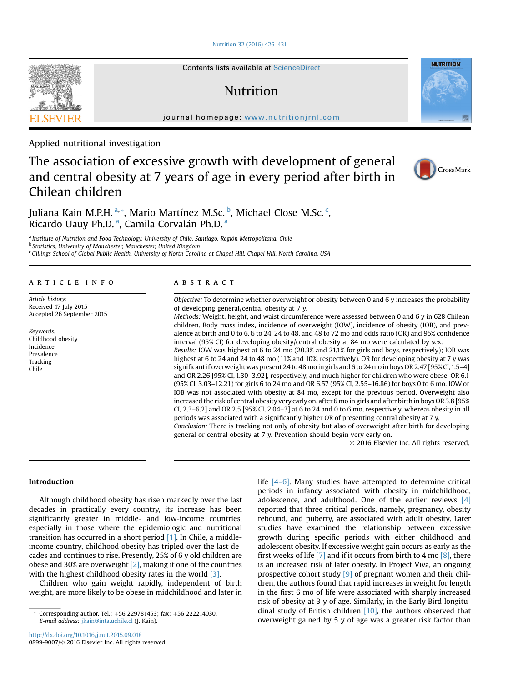## [Nutrition 32 \(2016\) 426](http://dx.doi.org/10.1016/j.nut.2015.09.018)–431

# Nutrition

journal homepage: [www.nutritionjrnl.com](http://www.nutritionjrnl.com)

Applied nutritional investigation

# The association of excessive growth with development of general and central obesity at 7 years of age in every period after birth in Chilean children



**NUTRITION** 

Juliana Kain M.P.H. <sup>a,</sup>\*, Mario Martínez M.Sc. <sup>b</sup>, Michael Close M.Sc. <sup>c</sup>, Ricardo Uauy Ph.D.ª, Camila Corvalán Ph.D.ª

a Institute of Nutrition and Food Technology, University of Chile, Santiago, Región Metropolitana, Chile **b Statistics, University of Manchester, Manchester, United Kingdom** <sup>c</sup> Gillings School of Global Public Health, University of North Carolina at Chapel Hill, Chapel Hill, North Carolina, USA

# article info

Article history: Received 17 July 2015 Accepted 26 September 2015

Keywords: Childhood obesity Incidence Prevalence Tracking Chile

# **ABSTRACT**

Objective: To determine whether overweight or obesity between 0 and 6 y increases the probability of developing general/central obesity at 7 y.

Methods: Weight, height, and waist circumference were assessed between 0 and 6 y in 628 Chilean children. Body mass index, incidence of overweight (IOW), incidence of obesity (IOB), and prevalence at birth and 0 to 6, 6 to 24, 24 to 48, and 48 to 72 mo and odds ratio (OR) and 95% confidence interval (95% CI) for developing obesity/central obesity at 84 mo were calculated by sex.

Results: IOW was highest at 6 to 24 mo (20.3% and 21.1% for girls and boys, respectively); IOB was highest at 6 to 24 and 24 to 48 mo (11% and 10%, respectively). OR for developing obesity at 7 y was significant if overweight was present 24 to 48 mo in girls and 6 to 24 mo in boys OR 2.47 [95% CI,1.5–4] and OR 2.26 [95% CI, 1.30–3.92], respectively, and much higher for children who were obese, OR 6.1 (95% CI, 3.03–12.21) for girls 6 to 24 mo and OR 6.57 (95% CI, 2.55–16.86) for boys 0 to 6 mo. IOW or IOB was not associated with obesity at 84 mo, except for the previous period. Overweight also increased the risk of central obesity very early on, after 6 mo in girls and after birth in boys OR 3.8 [95% CI, 2.3–6.2] and OR 2.5 [95% CI, 2.04–3] at 6 to 24 and 0 to 6 mo, respectively, whereas obesity in all periods was associated with a significantly higher OR of presenting central obesity at 7 y.

Conclusion: There is tracking not only of obesity but also of overweight after birth for developing general or central obesity at 7 y. Prevention should begin very early on.

2016 Elsevier Inc. All rights reserved.

# Introduction

Although childhood obesity has risen markedly over the last decades in practically every country, its increase has been significantly greater in middle- and low-income countries, especially in those where the epidemiologic and nutritional transition has occurred in a short period [\[1\].](#page-4-0) In Chile, a middleincome country, childhood obesity has tripled over the last decades and continues to rise. Presently, 25% of 6 y old children are obese and 30% are overweight  $[2]$ , making it one of the countries with the highest childhood obesity rates in the world [\[3\].](#page-4-0)

Children who gain weight rapidly, independent of birth weight, are more likely to be obese in midchildhood and later in

life [\[4](#page-4-0)–6]. Many studies have attempted to determine critical periods in infancy associated with obesity in midchildhood, adolescence, and adulthood. One of the earlier reviews [\[4\]](#page-4-0) reported that three critical periods, namely, pregnancy, obesity rebound, and puberty, are associated with adult obesity. Later studies have examined the relationship between excessive growth during specific periods with either childhood and adolescent obesity. If excessive weight gain occurs as early as the first weeks of life  $[7]$  and if it occurs from birth to 4 mo  $[8]$ , there is an increased risk of later obesity. In Project Viva, an ongoing prospective cohort study  $[9]$  of pregnant women and their children, the authors found that rapid increases in weight for length in the first 6 mo of life were associated with sharply increased risk of obesity at 3 y of age. Similarly, in the Early Bird longitudinal study of British children  $[10]$ , the authors observed that Corresponding author. Tel.: +56 229781453; fax: +56 222214030.<br>E-mail address: jkain@inta.uchile.cl (J. Kain). Correspondence overweight gained by 5 y of age was a greater risk factor than



E-mail address: [jkain@inta.uchile.cl](mailto:jkain@inta.uchile.cl) (J. Kain).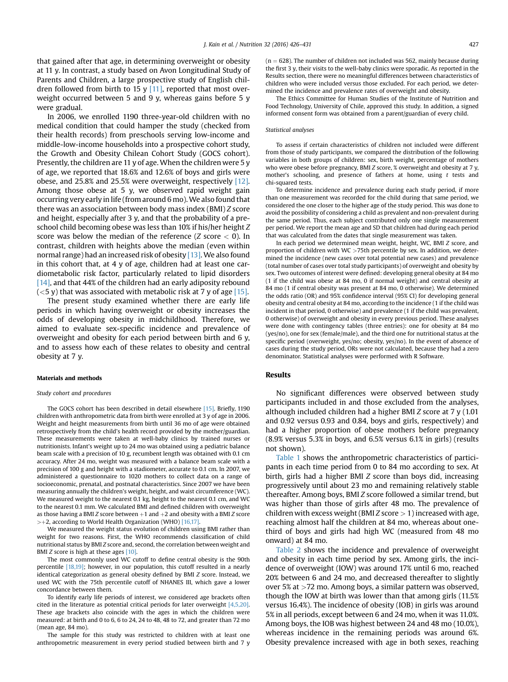that gained after that age, in determining overweight or obesity at 11 y. In contrast, a study based on Avon Longitudinal Study of Parents and Children, a large prospective study of English children followed from birth to 15 y  $[11]$ , reported that most overweight occurred between 5 and 9 y, whereas gains before 5 y were gradual.

In 2006, we enrolled 1190 three-year-old children with no medical condition that could hamper the study (checked from their health records) from preschools serving low-income and middle-low-income households into a prospective cohort study, the Growth and Obesity Chilean Cohort Study (GOCS cohort). Presently, the children are 11 y of age. When the children were 5 y of age, we reported that 18.6% and 12.6% of boys and girls were obese, and 25.8% and 25.5% were overweight, respectively [\[12\].](#page-4-0) Among those obese at 5 y, we observed rapid weight gain occurring very early in life (from around 6 mo).We also found that there was an association between body mass index (BMI) Z score and height, especially after 3 y, and that the probability of a preschool child becoming obese was less than 10% if his/her height Z score was below the median of the reference  $(Z \text{ score} < 0)$ . In contrast, children with heights above the median (even within normal range) had an increased risk of obesity [\[13\].](#page-4-0) We also found in this cohort that, at 4 y of age, children had at least one cardiometabolic risk factor, particularly related to lipid disorders [\[14\],](#page-4-0) and that 44% of the children had an early adiposity rebound  $(<$  5 y) that was associated with metabolic risk at 7 y of age [\[15\].](#page-5-0)

The present study examined whether there are early life periods in which having overweight or obesity increases the odds of developing obesity in midchildhood. Therefore, we aimed to evaluate sex-specific incidence and prevalence of overweight and obesity for each period between birth and 6 y, and to assess how each of these relates to obesity and central obesity at 7 y.

### Materials and methods

## Study cohort and procedures

The GOCS cohort has been described in detail elsewhere [\[15\].](#page-5-0) Briefly, 1190 children with anthropometric data from birth were enrolled at 3 y of age in 2006. Weight and height measurements from birth until 36 mo of age were obtained retrospectively from the child's health record provided by the mother/guardian. These measurements were taken at well-baby clinics by trained nurses or nutritionists. Infant's weight up to 24 mo was obtained using a pediatric balance beam scale with a precision of 10 g, recumbent length was obtained with 0.1 cm accuracy. After 24 mo, weight was measured with a balance beam scale with a precision of 100 g and height with a stadiometer, accurate to 0.1 cm. In 2007, we administered a questionnaire to 1020 mothers to collect data on a range of socioeconomic, prenatal, and postnatal characteristics. Since 2007 we have been measuring annually the children's weight, height, and waist circumference (WC). We measured weight to the nearest 0.1 kg, height to the nearest 0.1 cm, and WC to the nearest 0.1 mm. We calculated BMI and defined children with overweight as those having a BMI Z score between  $+1$  and  $+2$  and obesity with a BMI Z score  $\geq$  +2, according to World Health Organization (WHO) [\[16,17\].](#page-5-0)

We measured the weight status evolution of children using BMI rather than weight for two reasons. First, the WHO recommends classification of child nutritional status by BMI Z score and, second, the correlation between weight and BMI Z score is high at these ages [\[10\].](#page-4-0)

The most commonly used WC cutoff to define central obesity is the 90th percentile [\[18,19\];](#page-5-0) however, in our population, this cutoff resulted in a nearly identical categorization as general obesity defined by BMI Z score. Instead, we used WC with the 75th percentile cutoff of NHANES III, which gave a lower concordance between them.

To identify early life periods of interest, we considered age brackets often cited in the literature as potential critical periods for later overweight  $[4,5,20]$ . These age brackets also coincide with the ages in which the children were measured: at birth and 0 to 6, 6 to 24, 24 to 48, 48 to 72, and greater than 72 mo (mean age, 84 mo).

The sample for this study was restricted to children with at least one anthropometric measurement in every period studied between birth and 7 y  $(n = 628)$ . The number of children not included was 562, mainly because during the first 3 y, their visits to the well-baby clinics were sporadic. As reported in the Results section, there were no meaningful differences between characteristics of children who were included versus those excluded. For each period, we determined the incidence and prevalence rates of overweight and obesity.

The Ethics Committee for Human Studies of the Institute of Nutrition and Food Technology, University of Chile, approved this study. In addition, a signed informed consent form was obtained from a parent/guardian of every child.

#### Statistical analyses

To assess if certain characteristics of children not included were different from those of study participants, we compared the distribution of the following variables in both groups of children: sex, birth weight, percentage of mothers who were obese before pregnancy, BMI Z score, % overweight and obesity at 7 y, mother's schooling, and presence of fathers at home, using  $t$  tests and chi-squared tests.

To determine incidence and prevalence during each study period, if more than one measurement was recorded for the child during that same period, we considered the one closer to the higher age of the study period. This was done to avoid the possibility of considering a child as prevalent and non-prevalent during the same period. Thus, each subject contributed only one single measurement per period. We report the mean age and SD that children had during each period that was calculated from the dates that single measurement was taken.

In each period we determined mean weight, height, WC, BMI Z score, and proportion of children with WC  $>75$ th percentile by sex. In addition, we determined the incidence (new cases over total potential new cases) and prevalence (total number of cases over total study participants) of overweight and obesity by sex. Two outcomes of interest were defined: developing general obesity at 84 mo (1 if the child was obese at 84 mo, 0 if normal weight) and central obesity at 84 mo (1 if central obesity was present at 84 mo, 0 otherwise). We determined the odds ratio (OR) and 95% confidence interval (95% CI) for developing general obesity and central obesity at 84 mo, according to the incidence (1 if the child was incident in that period, 0 otherwise) and prevalence (1 if the child was prevalent, 0 otherwise) of overweight and obesity in every previous period. These analyses were done with contingency tables (three entries): one for obesity at 84 mo (yes/no), one for sex (female/male), and the third one for nutritional status at the specific period (overweight, yes/no; obesity, yes/no). In the event of absence of cases during the study period, ORs were not calculated, because they had a zero denominator. Statistical analyses were performed with R Software.

## Results

No significant differences were observed between study participants included in and those excluded from the analyses, although included children had a higher BMI  $Z$  score at  $7 \text{ y}$  (1.01) and 0.92 versus 0.93 and 0.84, boys and girls, respectively) and had a higher proportion of obese mothers before pregnancy (8.9% versus 5.3% in boys, and 6.5% versus 6.1% in girls) (results not shown).

[Table 1](#page-2-0) shows the anthropometric characteristics of participants in each time period from 0 to 84 mo according to sex. At birth, girls had a higher BMI Z score than boys did, increasing progressively until about 23 mo and remaining relatively stable thereafter. Among boys, BMI Z score followed a similar trend, but was higher than those of girls after 48 mo. The prevalence of children with excess weight (BMI Z score  $> 1$ ) increased with age, reaching almost half the children at 84 mo, whereas about onethird of boys and girls had high WC (measured from 48 mo onward) at 84 mo.

[Table 2](#page-2-0) shows the incidence and prevalence of overweight and obesity in each time period by sex. Among girls, the incidence of overweight (IOW) was around 17% until 6 mo, reached 20% between 6 and 24 mo, and decreased thereafter to slightly over 5% at >72 mo. Among boys, a similar pattern was observed, though the IOW at birth was lower than that among girls (11.5% versus 16.4%). The incidence of obesity (IOB) in girls was around 5% in all periods, except between 6 and 24 mo, when it was 11.0%. Among boys, the IOB was highest between 24 and 48 mo (10.0%), whereas incidence in the remaining periods was around 6%. Obesity prevalence increased with age in both sexes, reaching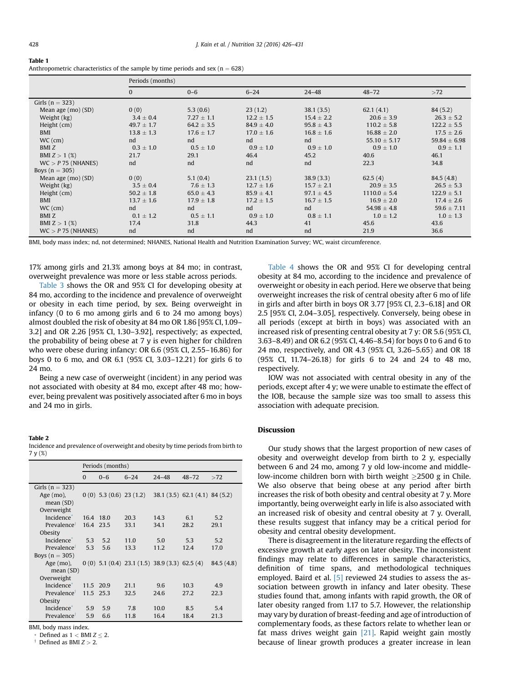<span id="page-2-0"></span>

| Table 1                                                                            |
|------------------------------------------------------------------------------------|
| Anthropometric characteristics of the sample by time periods and sex ( $n = 628$ ) |

|                      | Periods (months) |                |                |                |                  |                  |
|----------------------|------------------|----------------|----------------|----------------|------------------|------------------|
|                      | $\mathbf{0}$     | $0 - 6$        | $6 - 24$       | $24 - 48$      | $48 - 72$        | >72              |
| Girls ( $n = 323$ )  |                  |                |                |                |                  |                  |
| Mean age (mo) (SD)   | 0(0)             | 5.3(0.6)       | 23(1,2)        | 38.1(3.5)      | 62.1(4.1)        | 84(5.2)          |
| Weight (kg)          | $3.4 \pm 0.4$    | $7.27 \pm 1.1$ | $12.2 \pm 1.5$ | $15.4 \pm 2.2$ | $20.6 \pm 3.9$   | $26.3 \pm 5.2$   |
| Height (cm)          | $49.7 \pm 1.7$   | $64.2 \pm 3.5$ | $84.9 \pm 4.0$ | $95.8 \pm 4.3$ | $110.2 \pm 5.8$  | $122.2 \pm 5.5$  |
| BMI                  | $13.8 \pm 1.3$   | $17.6 \pm 1.7$ | $17.0 \pm 1.6$ | $16.8 \pm 1.6$ | $16.88 \pm 2.0$  | $17.5 \pm 2.6$   |
| $WC$ (cm)            | nd               | nd             | nd             | nd             | $55.10 \pm 5.17$ | $59.84 \pm 6.98$ |
| BMI <sub>Z</sub>     | $0.3 \pm 1.0$    | $0.5 \pm 1.0$  | $0.9 \pm 1.0$  | $0.9 \pm 1.0$  | $0.9 \pm 1.0$    | $0.9 \pm 1.1$    |
| BMI $Z > 1$ (%)      | 21.7             | 29.1           | 46.4           | 45.2           | 40.6             | 46.1             |
| $WC > P$ 75 (NHANES) | nd               | nd             | nd             | nd             | 22.3             | 34.8             |
| Boys $(n = 305)$     |                  |                |                |                |                  |                  |
| Mean age (mo) (SD)   | 0(0)             | 5.1(0.4)       | 23.1(1.5)      | 38.9(3.3)      | 62.5(4)          | 84.5 (4.8)       |
| Weight (kg)          | $3.5 \pm 0.4$    | $7.6 \pm 1.3$  | $12.7 \pm 1.6$ | $15.7 \pm 2.1$ | $20.9 \pm 3.5$   | $26.5 \pm 5.3$   |
| Height (cm)          | $50.2 \pm 1.8$   | $65.0 \pm 4.3$ | $85.9 \pm 4.1$ | $97.1 \pm 4.5$ | $1110.0 \pm 5.4$ | $122.9 \pm 5.1$  |
| <b>BMI</b>           | $13.7 \pm 1.6$   | $17.9 \pm 1.8$ | $17.2 \pm 1.5$ | $16.7 \pm 1.5$ | $16.9 \pm 2.0$   | $17.4 \pm 2.6$   |
| $WC$ (cm)            | nd               | nd             | nd             | nd             | $54.98 \pm 4.8$  | $59.6 \pm 7.11$  |
| BMI Z                | $0.1 \pm 1.2$    | $0.5 \pm 1.1$  | $0.9 \pm 1.0$  | $0.8 \pm 1.1$  | $1.0 \pm 1.2$    | $1.0 \pm 1.3$    |
| BMI $Z > 1$ (%)      | 17.4             | 31.8           | 44.3           | 41             | 45.6             | 43.6             |
| $WC > P$ 75 (NHANES) | nd               | nd             | nd             | nd             | 21.9             | 36.6             |

BMI, body mass index; nd, not determined; NHANES, National Health and Nutrition Examination Survey; WC, waist circumference.

17% among girls and 21.3% among boys at 84 mo; in contrast, overweight prevalence was more or less stable across periods.

[Table 3](#page-3-0) shows the OR and 95% CI for developing obesity at 84 mo, according to the incidence and prevalence of overweight or obesity in each time period, by sex. Being overweight in infancy (0 to 6 mo among girls and 6 to 24 mo among boys) almost doubled the risk of obesity at 84 mo OR 1.86 [95% CI, 1.09– 3.2] and OR 2.26 [95% CI, 1.30–3.92], respectively; as expected, the probability of being obese at 7 y is even higher for children who were obese during infancy: OR 6.6 (95% CI, 2.55–16.86) for boys 0 to 6 mo, and OR 6.1 (95% CI, 3.03–12.21) for girls 6 to 24 mo.

Being a new case of overweight (incident) in any period was not associated with obesity at 84 mo, except after 48 mo; however, being prevalent was positively associated after 6 mo in boys and 24 mo in girls.

## Table 2

Incidence and prevalence of overweight and obesity by time periods from birth to 7 y (%)

|                                        | Periods (months) |         |                           |                                                 |                                |            |
|----------------------------------------|------------------|---------|---------------------------|-------------------------------------------------|--------------------------------|------------|
|                                        | $\Omega$         | $0 - 6$ | $6 - 24$                  | $24 - 48$                                       | $48 - 72$                      | >72        |
| Girls $(n = 323)$                      |                  |         |                           |                                                 |                                |            |
| Age $(mo)$ ,<br>mean(SD)<br>Overweight |                  |         | $0(0)$ 5.3 (0.6) 23 (1.2) |                                                 | 38.1 (3.5) 62.1 (4.1) 84 (5.2) |            |
| Incidence <sup>*</sup>                 | 16.4 18.0        |         | 20.3                      | 14.3                                            | 6.1                            | 5.2        |
| Prevalence                             | 16.4 23.5        |         | 33.1                      | 34.1                                            | 28.2                           | 29.1       |
| Obesity                                |                  |         |                           |                                                 |                                |            |
| Incidence <sup>*</sup>                 | 5.3              | 5.2     | 11.0                      | 5.0                                             | 5.3                            | 5.2        |
| Prevalence                             | 5.3              | 5.6     | 13.3                      | 11.2                                            | 12.4                           | 17.0       |
| Boys $(n = 305)$                       |                  |         |                           |                                                 |                                |            |
| Age (mo),                              |                  |         |                           | $0(0)$ 5.1 (0.4) 23.1 (1.5) 38.9 (3.3) 62.5 (4) |                                | 84.5 (4.8) |
| mean(SD)                               |                  |         |                           |                                                 |                                |            |
| Overweight                             |                  |         |                           |                                                 |                                |            |
| Incidence <sup>*</sup>                 | 11.5             | 20.9    | 21.1                      | 9.6                                             | 10.3                           | 4.9        |
| Prevalence                             | 11.5 25.3        |         | 32.5                      | 24.6                                            | 27.2                           | 22.3       |
| Obesity                                |                  |         |                           |                                                 |                                |            |
| Incidence*                             | 5.9              | 5.9     | 7.8                       | 10.0                                            | 8.5                            | 5.4        |
| Prevalence                             | 5.9              | 6.6     | 11.8                      | 16.4                                            | 18.4                           | 21.3       |

BMI, body mass index.

\* Defined as  $1 <$  BMI  $Z \le 2$ .<br><sup>†</sup> Defined as BMI  $Z > 2$ .

[Table 4](#page-3-0) shows the OR and 95% CI for developing central obesity at 84 mo, according to the incidence and prevalence of overweight or obesity in each period. Here we observe that being overweight increases the risk of central obesity after 6 mo of life in girls and after birth in boys OR 3.77 [95% CI, 2.3–6.18] and OR 2.5 [95% CI, 2.04–3.05], respectively. Conversely, being obese in all periods (except at birth in boys) was associated with an increased risk of presenting central obesity at 7 y: OR 5.6 (95% CI, 3.63–8.49) and OR 6.2 (95% CI, 4.46–8.54) for boys 0 to 6 and 6 to 24 mo, respectively, and OR 4.3 (95% CI, 3.26–5.65) and OR 18 (95% CI, 11.74–26.18) for girls 6 to 24 and 24 to 48 mo, respectively.

IOW was not associated with central obesity in any of the periods, except after 4 y; we were unable to estimate the effect of the IOB, because the sample size was too small to assess this association with adequate precision.

# Discussion

Our study shows that the largest proportion of new cases of obesity and overweight develop from birth to 2 y, especially between 6 and 24 mo, among 7 y old low-income and middlelow-income children born with birth weight  $\geq$ 2500 g in Chile. We also observe that being obese at any period after birth increases the risk of both obesity and central obesity at 7 y. More importantly, being overweight early in life is also associated with an increased risk of obesity and central obesity at 7 y. Overall, these results suggest that infancy may be a critical period for obesity and central obesity development.

There is disagreement in the literature regarding the effects of excessive growth at early ages on later obesity. The inconsistent findings may relate to differences in sample characteristics, definition of time spans, and methodological techniques employed. Baird et al. [\[5\]](#page-4-0) reviewed 24 studies to assess the association between growth in infancy and later obesity. These studies found that, among infants with rapid growth, the OR of later obesity ranged from 1.17 to 5.7. However, the relationship may vary by duration of breast-feeding and age of introduction of complementary foods, as these factors relate to whether lean or fat mass drives weight gain  $[21]$ . Rapid weight gain mostly because of linear growth produces a greater increase in lean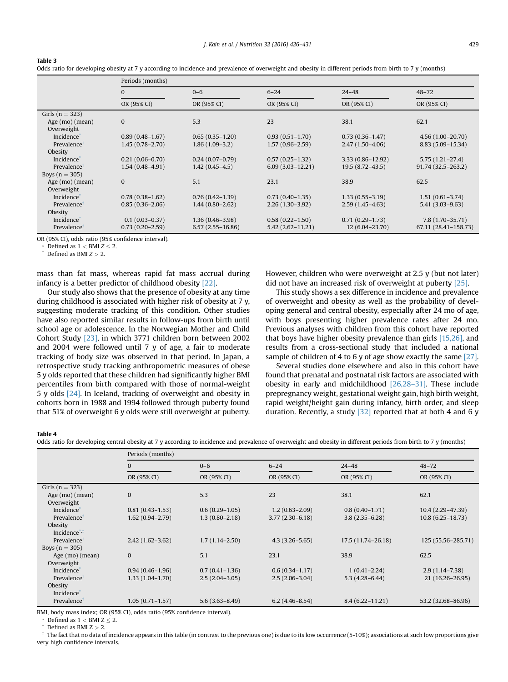| Odds ratio for developing obesity at 7 y according to incidence and prevalence of overweight and obesity in different periods from birth to 7 y (months) |
|----------------------------------------------------------------------------------------------------------------------------------------------------------|
|----------------------------------------------------------------------------------------------------------------------------------------------------------|

|                         | Periods (months)    |                      |                      |                     |                      |  |  |
|-------------------------|---------------------|----------------------|----------------------|---------------------|----------------------|--|--|
|                         | $\Omega$            | $0 - 6$              | $6 - 24$             | $24 - 48$           | $48 - 72$            |  |  |
|                         | OR (95% CI)         | OR (95% CI)          | OR (95% CI)          | OR (95% CI)         | OR (95% CI)          |  |  |
| Girls ( $n = 323$ )     |                     |                      |                      |                     |                      |  |  |
| Age (mo) (mean)         | $\bf{0}$            | 5.3                  | 23                   | 38.1                | 62.1                 |  |  |
| Overweight              |                     |                      |                      |                     |                      |  |  |
| Incidence <sup>*</sup>  | $0.89(0.48 - 1.67)$ | $0.65(0.35 - 1.20)$  | $0.93(0.51 - 1.70)$  | $0.73(0.36 - 1.47)$ | $4.56(1.00-20.70)$   |  |  |
| Prevalence              | $1.45(0.78 - 2.70)$ | $1.86(1.09-3.2)$     | $1.57(0.96 - 2.59)$  | $2.47(1.50-4.06)$   | 8.83 (5.09-15.34)    |  |  |
| Obesity                 |                     |                      |                      |                     |                      |  |  |
| Incidence <sup>®</sup>  | $0.21(0.06 - 0.70)$ | $0.24(0.07-0.79)$    | $0.57(0.25 - 1.32)$  | 3.33 (0.86-12.92)   | $5.75(1.21-27.4)$    |  |  |
| Prevalence              | $1.54(0.48 - 4.91)$ | $1.42(0.45 - 4.5)$   | $6.09(3.03 - 12.21)$ | $19.5(8.72-43.5)$   | 91.74 (32.5-263.2)   |  |  |
| Boys $(n = 305)$        |                     |                      |                      |                     |                      |  |  |
| Age (mo) (mean)         | $\bf{0}$            | 5.1                  | 23.1                 | 38.9                | 62.5                 |  |  |
| Overweight              |                     |                      |                      |                     |                      |  |  |
| Incidence <sup>®</sup>  | $0.78(0.38-1.62)$   | $0.76(0.42 - 1.39)$  | $0.73(0.40-1.35)$    | $1.33(0.55 - 3.19)$ | $1.51(0.61-3.74)$    |  |  |
| Prevalence              | $0.85(0.36 - 2.06)$ | $1.44(0.80 - 2.62)$  | $2.26(1.30-3.92)$    | $2.59(1.45-4.63)$   | $5.41(3.03 - 9.63)$  |  |  |
| Obesity                 |                     |                      |                      |                     |                      |  |  |
| Incidence <sup>®</sup>  | $0.1(0.03 - 0.37)$  | $1.36(0.46 - 3.98)$  | $0.58(0.22 - 1.50)$  | $0.71(0.29 - 1.73)$ | 7.8 (1.70-35.71)     |  |  |
| Prevalence <sup>1</sup> | $0.73(0.20 - 2.59)$ | $6.57(2.55 - 16.86)$ | $5.42(2.62 - 11.21)$ | 12 (6.04-23.70)     | 67.11 (28.41-158.73) |  |  |

OR (95% CI), odds ratio (95% confidence interval).

\* Defined as  $1 <$  BMI  $Z \le 2$ .<br><sup>†</sup> Defined as BMI  $Z > 2$ .

<span id="page-3-0"></span>Table 3

mass than fat mass, whereas rapid fat mass accrual during infancy is a better predictor of childhood obesity [\[22\].](#page-5-0)

Our study also shows that the presence of obesity at any time during childhood is associated with higher risk of obesity at 7 y, suggesting moderate tracking of this condition. Other studies have also reported similar results in follow-ups from birth until school age or adolescence. In the Norwegian Mother and Child Cohort Study [\[23\]](#page-5-0), in which 3771 children born between 2002 and 2004 were followed until 7 y of age, a fair to moderate tracking of body size was observed in that period. In Japan, a retrospective study tracking anthropometric measures of obese 5 y olds reported that these children had significantly higher BMI percentiles from birth compared with those of normal-weight 5 y olds [\[24\].](#page-5-0) In Iceland, tracking of overweight and obesity in cohorts born in 1988 and 1994 followed through puberty found that 51% of overweight 6 y olds were still overweight at puberty. However, children who were overweight at 2.5 y (but not later) did not have an increased risk of overweight at puberty [\[25\].](#page-5-0)

This study shows a sex difference in incidence and prevalence of overweight and obesity as well as the probability of developing general and central obesity, especially after 24 mo of age, with boys presenting higher prevalence rates after 24 mo. Previous analyses with children from this cohort have reported that boys have higher obesity prevalence than girls [\[15,26\],](#page-5-0) and results from a cross-sectional study that included a national sample of children of 4 to 6 y of age show exactly the same [\[27\]](#page-5-0).

Several studies done elsewhere and also in this cohort have found that prenatal and postnatal risk factors are associated with obesity in early and midchildhood [\[26,28](#page-5-0)–31]. These include prepregnancy weight, gestational weight gain, high birth weight, rapid weight/height gain during infancy, birth order, and sleep duration. Recently, a study  $\left[32\right]$  reported that at both 4 and 6 y

## Table 4

Odds ratio for developing central obesity at 7 y according to incidence and prevalence of overweight and obesity in different periods from birth to 7 y (months)

|                         | Periods (months)    |                    |                    |                     |                      |  |  |
|-------------------------|---------------------|--------------------|--------------------|---------------------|----------------------|--|--|
|                         | $\Omega$            | $0 - 6$            | $6 - 24$           | $24 - 48$           | $48 - 72$            |  |  |
|                         | OR (95% CI)         | OR (95% CI)        | OR (95% CI)        | OR (95% CI)         | OR (95% CI)          |  |  |
| Girls ( $n = 323$ )     |                     |                    |                    |                     |                      |  |  |
| Age (mo) (mean)         | $\mathbf{0}$        | 5.3                | 23                 | 38.1                | 62.1                 |  |  |
| Overweight              |                     |                    |                    |                     |                      |  |  |
| Incidence <sup>®</sup>  | $0.81(0.43 - 1.53)$ | $0.6(0.29-1.05)$   | $1.2(0.63 - 2.09)$ | $0.8(0.40-1.71)$    | 10.4 (2.29-47.39)    |  |  |
| Prevalence <sup>†</sup> | $1.62(0.94 - 2.79)$ | $1.3(0.80 - 2.18)$ | $3.77(2.30-6.18)$  | $3.8(2.35 - 6.28)$  | $10.8(6.25 - 18.73)$ |  |  |
| Obesity                 |                     |                    |                    |                     |                      |  |  |
| Incidence $**$          |                     |                    |                    |                     |                      |  |  |
| Prevalence <sup>1</sup> | $2.42(1.62 - 3.62)$ | $1.7(1.14 - 2.50)$ | $4.3(3.26 - 5.65)$ | 17.5 (11.74-26.18)  | 125 (55.56-285.71)   |  |  |
| Boys $(n = 305)$        |                     |                    |                    |                     |                      |  |  |
| Age (mo) (mean)         | $\mathbf{0}$        | 5.1                | 23.1               | 38.9                | 62.5                 |  |  |
| Overweight              |                     |                    |                    |                     |                      |  |  |
| Incidence <sup>®</sup>  | $0.94(0.46 - 1.96)$ | $0.7(0.41 - 1.36)$ | $0.6(0.34 - 1.17)$ | $1(0.41 - 2.24)$    | $2.9(1.14 - 7.38)$   |  |  |
| Prevalence <sup>1</sup> | $1.33(1.04-1.70)$   | $2.5(2.04-3.05)$   | $2.5(2.06-3.04)$   | $5.3(4.28 - 6.44)$  | 21 (16.26-26.95)     |  |  |
| Obesity                 |                     |                    |                    |                     |                      |  |  |
| Incidence <sup>®</sup>  |                     |                    |                    |                     |                      |  |  |
| Prevalence              | $1.05(0.71 - 1.57)$ | $5.6(3.63 - 8.49)$ | $6.2(4.46 - 8.54)$ | $8.4(6.22 - 11.21)$ | 53.2 (32.68-86.96)   |  |  |

BMI, body mass index; OR (95% CI), odds ratio (95% confidence interval).

Defined as  $1 <$  BMI Z  $\leq$  2. Defined as BMI Z  $>$  2.

 $^{\ddagger}$  The fact that no data of incidence appears in this table (in contrast to the previous one) is due to its low occurrence (5-10%); associations at such low proportions give very high confidence intervals.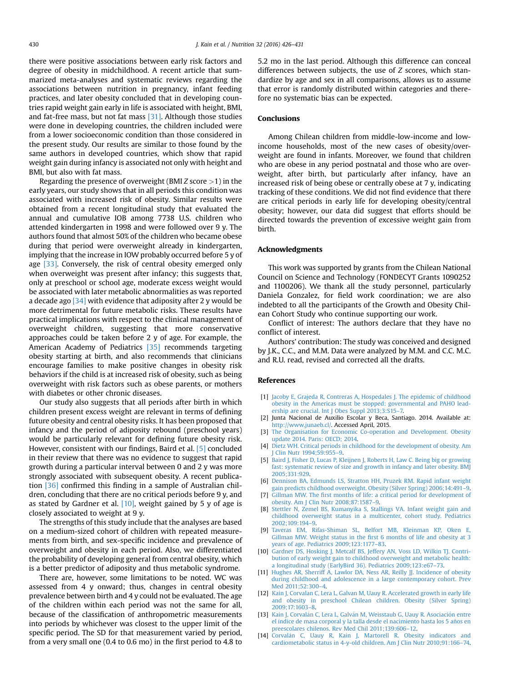<span id="page-4-0"></span>there were positive associations between early risk factors and degree of obesity in midchildhood. A recent article that summarized meta-analyses and systematic reviews regarding the associations between nutrition in pregnancy, infant feeding practices, and later obesity concluded that in developing countries rapid weight gain early in life is associated with height, BMI, and fat-free mass, but not fat mass [\[31\].](#page-5-0) Although those studies were done in developing countries, the children included were from a lower socioeconomic condition than those considered in the present study. Our results are similar to those found by the same authors in developed countries, which show that rapid weight gain during infancy is associated not only with height and BMI, but also with fat mass.

Regarding the presence of overweight (BMI Z score >1) in the early years, our study shows that in all periods this condition was associated with increased risk of obesity. Similar results were obtained from a recent longitudinal study that evaluated the annual and cumulative IOB among 7738 U.S. children who attended kindergarten in 1998 and were followed over 9 y. The authors found that almost 50% of the children who became obese during that period were overweight already in kindergarten, implying that the increase in IOW probably occurred before 5 y of age  $[33]$ . Conversely, the risk of central obesity emerged only when overweight was present after infancy; this suggests that, only at preschool or school age, moderate excess weight would be associated with later metabolic abnormalities as was reported a decade ago [\[34\]](#page-5-0) with evidence that adiposity after 2 y would be more detrimental for future metabolic risks. These results have practical implications with respect to the clinical management of overweight children, suggesting that more conservative approaches could be taken before 2 y of age. For example, the American Academy of Pediatrics [\[35\]](#page-5-0) recommends targeting obesity starting at birth, and also recommends that clinicians encourage families to make positive changes in obesity risk behaviors if the child is at increased risk of obesity, such as being overweight with risk factors such as obese parents, or mothers with diabetes or other chronic diseases.

Our study also suggests that all periods after birth in which children present excess weight are relevant in terms of defining future obesity and central obesity risks. It has been proposed that infancy and the period of adiposity rebound (preschool years) would be particularly relevant for defining future obesity risk. However, consistent with our findings, Baird et al. [5] concluded in their review that there was no evidence to suggest that rapid growth during a particular interval between 0 and 2 y was more strongly associated with subsequent obesity. A recent publication [\[36\]](#page-5-0) confirmed this finding in a sample of Australian children, concluding that there are no critical periods before 9 y, and as stated by Gardner et al.  $[10]$ , weight gained by 5 y of age is closely associated to weight at 9 y.

The strengths of this study include that the analyses are based on a medium-sized cohort of children with repeated measurements from birth, and sex-specific incidence and prevalence of overweight and obesity in each period. Also, we differentiated the probability of developing general from central obesity, which is a better predictor of adiposity and thus metabolic syndrome.

There are, however, some limitations to be noted. WC was assessed from 4 y onward; thus, changes in central obesity prevalence between birth and 4 y could not be evaluated. The age of the children within each period was not the same for all, because of the classification of anthropometric measurements into periods by whichever was closest to the upper limit of the specific period. The SD for that measurement varied by period, from a very small one (0.4 to 0.6 mo) in the first period to 4.8 to

5.2 mo in the last period. Although this difference can conceal differences between subjects, the use of Z scores, which standardize by age and sex in all comparisons, allows us to assume that error is randomly distributed within categories and therefore no systematic bias can be expected.

# Conclusions

Among Chilean children from middle-low-income and lowincome households, most of the new cases of obesity/overweight are found in infants. Moreover, we found that children who are obese in any period postnatal and those who are overweight, after birth, but particularly after infancy, have an increased risk of being obese or centrally obese at 7 y, indicating tracking of these conditions. We did not find evidence that there are critical periods in early life for developing obesity/central obesity; however, our data did suggest that efforts should be directed towards the prevention of excessive weight gain from birth.

### Acknowledgments

This work was supported by grants from the Chilean National Council on Science and Technology (FONDECYT Grants 1090252 and 1100206). We thank all the study personnel, particularly Daniela Gonzalez, for field work coordination; we are also indebted to all the participants of the Growth and Obesity Chilean Cohort Study who continue supporting our work.

Conflict of interest: The authors declare that they have no conflict of interest.

Authors' contribution: The study was conceived and designed by J.K., C.C., and M.M. Data were analyzed by M.M. and C.C. M.C. and R.U. read, revised and corrected all the drafts.

## References

- [1] [Jacoby E, Grajeda R, Contreras A, Hospedales J. The epidemic of childhood](http://refhub.elsevier.com/S0899-9007(15)00412-8/sref1) [obesity in the Americas must be stopped: governmental and PAHO lead](http://refhub.elsevier.com/S0899-9007(15)00412-8/sref1)[ership are crucial. Int J Obes Suppl 2013;3:S15](http://refhub.elsevier.com/S0899-9007(15)00412-8/sref1)–7.
- [2] Junta Nacional de Auxilio Escolar y Beca, Santiago. 2014. Available at: [http://www.junaeb.cl/.](http://www.junaeb.cl/) Accessed April, 2015.
- [3] [The Organisation for Economic Co-operation and Development. Obesity](http://refhub.elsevier.com/S0899-9007(15)00412-8/sref3) [update 2014. Paris: OECD; 2014](http://refhub.elsevier.com/S0899-9007(15)00412-8/sref3).
- [4] [Dietz WH. Critical periods in childhood for the development of obesity. Am](http://refhub.elsevier.com/S0899-9007(15)00412-8/sref4) [J Clin Nutr 1994;59:955](http://refhub.elsevier.com/S0899-9007(15)00412-8/sref4)–9.
- [5] [Baird J, Fisher D, Lucas P, Kleijnen J, Roberts H, Law C. Being big or growing](http://refhub.elsevier.com/S0899-9007(15)00412-8/sref5) [fast: systematic review of size and growth in infancy and later obesity. BMJ](http://refhub.elsevier.com/S0899-9007(15)00412-8/sref5) [2005;331:929.](http://refhub.elsevier.com/S0899-9007(15)00412-8/sref5)
- [6] [Dennison BA, Edmunds LS, Stratton HH, Pruzek RM. Rapid infant weight](http://refhub.elsevier.com/S0899-9007(15)00412-8/sref6)
- [gain predicts childhood overweight. Obesity \(Silver Spring\) 2006;14:491](http://refhub.elsevier.com/S0899-9007(15)00412-8/sref6)–9. [7] Gillman MW. The fi[rst months of life: a critical period for development of](http://refhub.elsevier.com/S0899-9007(15)00412-8/sref7)
- [obesity. Am J Clin Nutr 2008;87:1587](http://refhub.elsevier.com/S0899-9007(15)00412-8/sref7)–9. [8] [Stettler N, Zemel BS, Kumanyika S, Stallings VA. Infant weight gain and](http://refhub.elsevier.com/S0899-9007(15)00412-8/sref8) [childhood overweight status in a multicenter, cohort study. Pediatrics](http://refhub.elsevier.com/S0899-9007(15)00412-8/sref8)
- [2002;109:194](http://refhub.elsevier.com/S0899-9007(15)00412-8/sref8)–9. [9] [Taveras EM, Rifas-Shiman SL, Belfort MB, Kleinman KP, Oken E,](http://refhub.elsevier.com/S0899-9007(15)00412-8/sref9) Gillman MW. Weight status in the fi[rst 6 months of life and obesity at 3](http://refhub.elsevier.com/S0899-9007(15)00412-8/sref9) [years of age. Pediatrics 2009;123:1177](http://refhub.elsevier.com/S0899-9007(15)00412-8/sref9)–83.
- [10] [Gardner DS, Hosking J, Metcalf BS, Jeffery AN, Voss LD, Wilkin TJ. Contri](http://refhub.elsevier.com/S0899-9007(15)00412-8/sref10)[bution of early weight gain to childhood overweight and metabolic health:](http://refhub.elsevier.com/S0899-9007(15)00412-8/sref10) [a longitudinal study \(EarlyBird 36\). Pediatrics 2009;123:e67](http://refhub.elsevier.com/S0899-9007(15)00412-8/sref10)–73.
- [11] [Hughes AR, Sherriff A, Lawlor DA, Ness AR, Reilly JJ. Incidence of obesity](http://refhub.elsevier.com/S0899-9007(15)00412-8/sref11) [during childhood and adolescence in a large contemporary cohort. Prev](http://refhub.elsevier.com/S0899-9007(15)00412-8/sref11) [Med 2011;52:300](http://refhub.elsevier.com/S0899-9007(15)00412-8/sref11)–4.
- [12] [Kain J, Corvalan C, Lera L, Galvan M, Uauy R. Accelerated growth in early life](http://refhub.elsevier.com/S0899-9007(15)00412-8/sref12) [and obesity in preschool Chilean children. Obesity \(Silver Spring\)](http://refhub.elsevier.com/S0899-9007(15)00412-8/sref12) [2009;17:1603](http://refhub.elsevier.com/S0899-9007(15)00412-8/sref12)–8.
- [13] [Kain J, Corval](http://refhub.elsevier.com/S0899-9007(15)00412-8/sref13)á[n C, Lera L, Galv](http://refhub.elsevier.com/S0899-9007(15)00412-8/sref13)á[n M, Weisstaub G, Uauy R. Asociaci](http://refhub.elsevier.com/S0899-9007(15)00412-8/sref13)ón entre [el](http://refhub.elsevier.com/S0899-9007(15)00412-8/sref13) índice de masa corporal y la talla desde el nacimiento hasta los 5 años en [preescolares chilenos. Rev Med Chil 2011;139:606](http://refhub.elsevier.com/S0899-9007(15)00412-8/sref13)–12.
- [14] [Corval](http://refhub.elsevier.com/S0899-9007(15)00412-8/sref14)á[n C, Uauy R, Kain J, Martorell R. Obesity indicators and](http://refhub.elsevier.com/S0899-9007(15)00412-8/sref14) [cardiometabolic status in 4-y-old children. Am J Clin Nutr 2010;91:166](http://refhub.elsevier.com/S0899-9007(15)00412-8/sref14)–74.